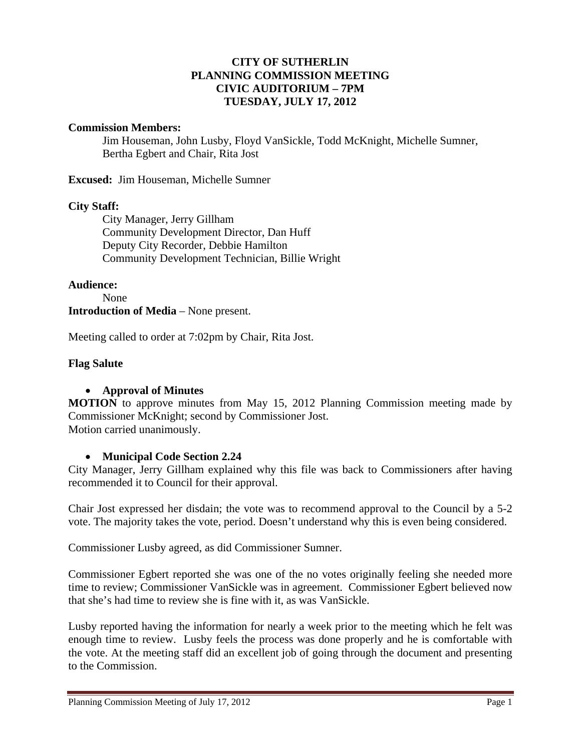### **CITY OF SUTHERLIN PLANNING COMMISSION MEETING CIVIC AUDITORIUM – 7PM TUESDAY, JULY 17, 2012**

#### **Commission Members:**

Jim Houseman, John Lusby, Floyd VanSickle, Todd McKnight, Michelle Sumner, Bertha Egbert and Chair, Rita Jost

**Excused:** Jim Houseman, Michelle Sumner

### **City Staff:**

 City Manager, Jerry Gillham Community Development Director, Dan Huff Deputy City Recorder, Debbie Hamilton Community Development Technician, Billie Wright

**Audience:** 

#### None **Introduction of Media** – None present.

Meeting called to order at 7:02pm by Chair, Rita Jost.

### **Flag Salute**

### **Approval of Minutes**

**MOTION** to approve minutes from May 15, 2012 Planning Commission meeting made by Commissioner McKnight; second by Commissioner Jost. Motion carried unanimously.

#### **Municipal Code Section 2.24**

City Manager, Jerry Gillham explained why this file was back to Commissioners after having recommended it to Council for their approval.

Chair Jost expressed her disdain; the vote was to recommend approval to the Council by a 5-2 vote. The majority takes the vote, period. Doesn't understand why this is even being considered.

Commissioner Lusby agreed, as did Commissioner Sumner.

Commissioner Egbert reported she was one of the no votes originally feeling she needed more time to review; Commissioner VanSickle was in agreement. Commissioner Egbert believed now that she's had time to review she is fine with it, as was VanSickle.

Lusby reported having the information for nearly a week prior to the meeting which he felt was enough time to review. Lusby feels the process was done properly and he is comfortable with the vote. At the meeting staff did an excellent job of going through the document and presenting to the Commission.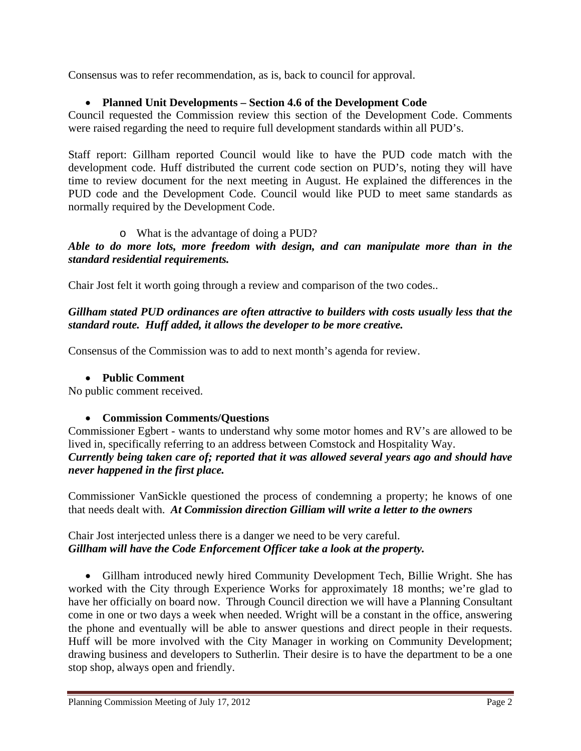Consensus was to refer recommendation, as is, back to council for approval.

## **Planned Unit Developments – Section 4.6 of the Development Code**

Council requested the Commission review this section of the Development Code. Comments were raised regarding the need to require full development standards within all PUD's.

Staff report: Gillham reported Council would like to have the PUD code match with the development code. Huff distributed the current code section on PUD's, noting they will have time to review document for the next meeting in August. He explained the differences in the PUD code and the Development Code. Council would like PUD to meet same standards as normally required by the Development Code.

# o What is the advantage of doing a PUD?

*Able to do more lots, more freedom with design, and can manipulate more than in the standard residential requirements.* 

Chair Jost felt it worth going through a review and comparison of the two codes..

*Gillham stated PUD ordinances are often attractive to builders with costs usually less that the standard route. Huff added, it allows the developer to be more creative.*

Consensus of the Commission was to add to next month's agenda for review.

### **Public Comment**

No public comment received.

### **Commission Comments/Questions**

Commissioner Egbert - wants to understand why some motor homes and RV's are allowed to be lived in, specifically referring to an address between Comstock and Hospitality Way. *Currently being taken care of; reported that it was allowed several years ago and should have never happened in the first place.* 

Commissioner VanSickle questioned the process of condemning a property; he knows of one that needs dealt with. *At Commission direction Gilliam will write a letter to the owners*

Chair Jost interjected unless there is a danger we need to be very careful. *Gillham will have the Code Enforcement Officer take a look at the property.* 

 Gillham introduced newly hired Community Development Tech, Billie Wright. She has worked with the City through Experience Works for approximately 18 months; we're glad to have her officially on board now. Through Council direction we will have a Planning Consultant come in one or two days a week when needed. Wright will be a constant in the office, answering the phone and eventually will be able to answer questions and direct people in their requests. Huff will be more involved with the City Manager in working on Community Development; drawing business and developers to Sutherlin. Their desire is to have the department to be a one stop shop, always open and friendly.